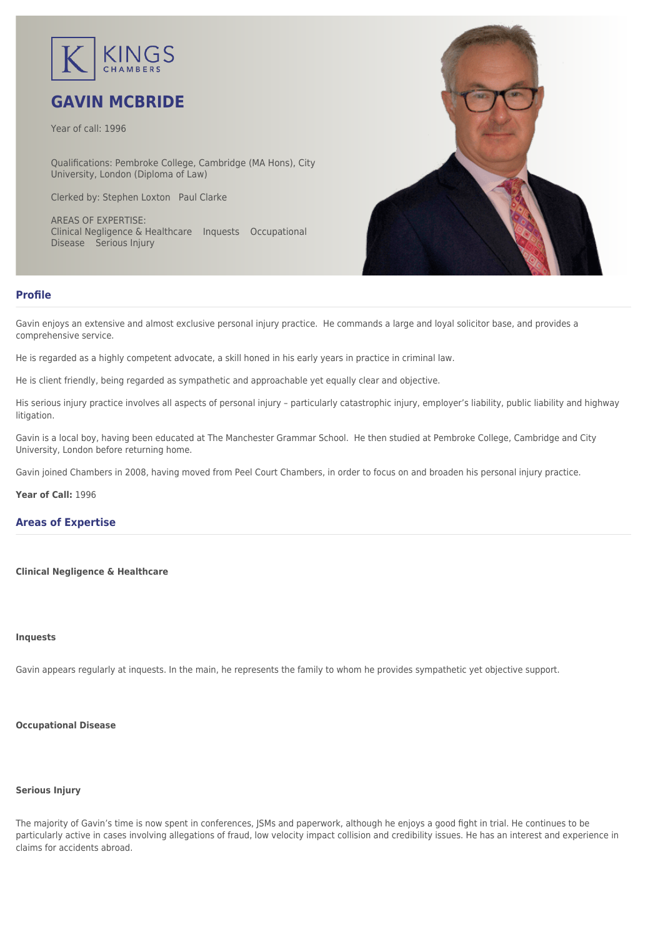

# **GAVIN MCBRIDE**

Year of call: 1996

Qualifications: Pembroke College, Cambridge (MA Hons), City University, London (Diploma of Law)

Clerked by: [Stephen Loxton](mailto:sloxton@kingschambers.com) [Paul Clarke](mailto:pclarke@kingschambers.com)

AREAS OF EXPERTISE: Clinical Negligence & Healthcare Inquests Occupational Disease Serious Injury



#### **Profile**

Gavin enjoys an extensive and almost exclusive personal injury practice. He commands a large and loyal solicitor base, and provides a comprehensive service.

He is regarded as a highly competent advocate, a skill honed in his early years in practice in criminal law.

He is client friendly, being regarded as sympathetic and approachable yet equally clear and objective.

His serious injury practice involves all aspects of personal injury – particularly catastrophic injury, employer's liability, public liability and highway litigation.

Gavin is a local boy, having been educated at The Manchester Grammar School. He then studied at Pembroke College, Cambridge and City University, London before returning home.

Gavin joined Chambers in 2008, having moved from Peel Court Chambers, in order to focus on and broaden his personal injury practice.

**Year of Call:** 1996

#### **Areas of Expertise**

#### **[Clinical Negligence & Healthcare](#page--1-0)**

#### **[Inquests](#page--1-0)**

Gavin appears regularly at inquests. In the main, he represents the family to whom he provides sympathetic yet objective support.

### **[Occupational Disease](#page--1-0)**

#### **[Serious Injury](#page--1-0)**

The majority of Gavin's time is now spent in conferences, JSMs and paperwork, although he enjoys a good fight in trial. He continues to be particularly active in cases involving allegations of fraud, low velocity impact collision and credibility issues. He has an interest and experience in claims for accidents abroad.